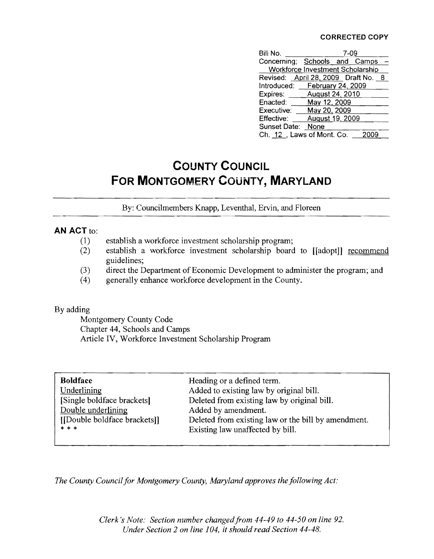## **CORRECTED COpy**

| Bill No.                                |                 | 7-09 |  |
|-----------------------------------------|-----------------|------|--|
| Concerning; Schools and Camps           |                 |      |  |
| <b>Workforce Investment Scholarship</b> |                 |      |  |
| Revised: April 28, 2009 Draft No. 8     |                 |      |  |
| Introduced: February 24, 2009           |                 |      |  |
| Expires: August 24, 2010                |                 |      |  |
| Enacted: May 12, 2009                   |                 |      |  |
| Executive: May 20, 2009                 |                 |      |  |
| Effective:                              | August 19, 2009 |      |  |
| Sunset Date: None                       |                 |      |  |
| Ch. 12, Laws of Mont. Co.               |                 |      |  |

## **COUNTY COUNCIL FOR MONTGOMERY COUNTY, MARYLAND**

By: Councilmembers Knapp, Leventhal, Ervin, and Floreen

## **AN ACT to:**

- (1) establish a workforce investment scholarship program;
- (2) establish a workforce investment scholarship board to [[adopt]] recommend guidelines;
- (3) direct the Department of Economic Development to administer the program; and
- (4) generally enhance workforce development in the County.

## By adding

Montgomery County Code Chapter 44, Schools and Camps Article IV, Workforce Investment Scholarship Program

| <b>Boldface</b>             | Heading or a defined term.                          |
|-----------------------------|-----------------------------------------------------|
| Underlining                 | Added to existing law by original bill.             |
| [Single boldface brackets]  | Deleted from existing law by original bill.         |
| Double underlining          | Added by amendment.                                 |
| [Double boldface brackets]] | Deleted from existing law or the bill by amendment. |
| * * *                       | Existing law unaffected by bill.                    |
|                             |                                                     |

*The County Council for Montgomery County, Maryland approves the following Act:* 

*Clerk's Note: Section number changed from 44-49 to 44-50 on line 92. Under Section* 2 *on line 104, it should read Section 44-48.*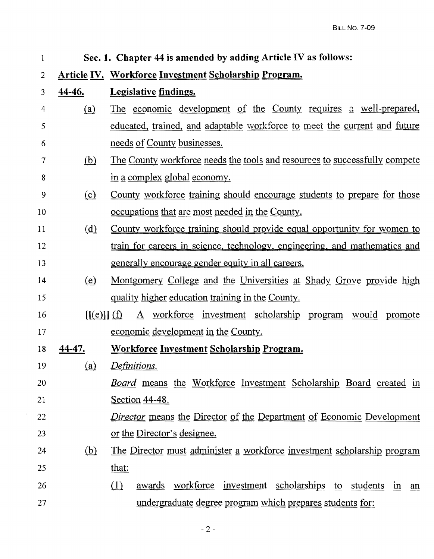| $\mathbf{1}$   |            | Sec. 1. Chapter 44 is amended by adding Article IV as follows:                      |
|----------------|------------|-------------------------------------------------------------------------------------|
| $\overline{2}$ |            | <b>Article IV. Workforce Investment Scholarship Program.</b>                        |
| 3              | 44-46.     | <b>Legislative findings.</b>                                                        |
| $\overline{4}$ | <u>(a)</u> | The economic development of the County requires a well-prepared,                    |
| 5              |            | educated, trained, and adaptable workforce to meet the current and future           |
| 6              |            | needs of County businesses.                                                         |
| 7              | <u>(b)</u> | The County workforce needs the tools and resources to successfully compete          |
| 8              |            | in a complex global economy.                                                        |
| 9              | $\Omega$   | County workforce training should encourage students to prepare for those            |
| 10             |            | <u>occupations that are most needed in the County.</u>                              |
| 11             | <u>(d)</u> | <u>County workforce training should provide equal opportunity for women to</u>      |
| 12             |            | train for careers in science, technology, engineering, and mathematics and          |
| 13             |            | <u>generally encourage gender equity in all careers.</u>                            |
| 14             | (e)        | Montgomery College and the Universities at Shady Grove provide high                 |
| 15             |            | quality higher education training in the County.                                    |
| 16             | [(e)] (f)  | workforce investment scholarship<br>$\mathbf{A}$<br>would<br>promote<br>program     |
| 17             |            | economic development in the County.                                                 |
| 18             | 44-47.     | <b>Workforce Investment Scholarship Program.</b>                                    |
| 19             | <u>(a)</u> | Definitions.                                                                        |
| 20             |            | <u>Board means the Workforce Investment Scholarship Board created in</u>            |
| 21             |            | <u>Section 44-48.</u>                                                               |
| 22             |            | <i><u>Director means the Director of the Department of Economic Development</u></i> |
| 23             |            | or the Director's designee.                                                         |
| 24             | <u>(b)</u> | The Director must administer a workforce investment scholarship program             |
| 25             |            | that:                                                                               |
| 26             |            | awards workforce investment scholarships to students in<br>(1)<br>an                |
| 27             |            | undergraduate degree program which prepares students for:                           |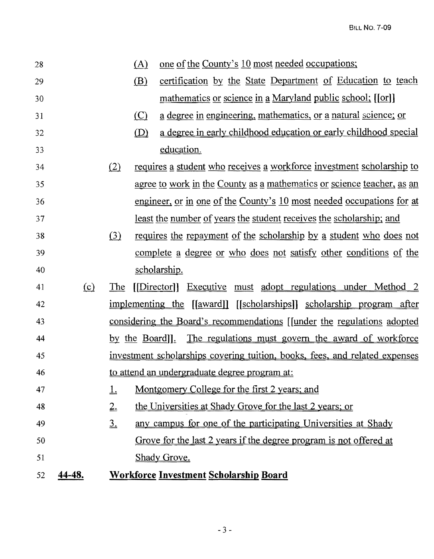| 28 |        |               | (A) | one of the County's 10 most needed occupations;                                   |
|----|--------|---------------|-----|-----------------------------------------------------------------------------------|
| 29 |        |               | (B) | certification by the State Department of Education to teach                       |
| 30 |        |               |     | mathematics or science in a Maryland public school; [[or]]                        |
| 31 |        |               | (C) | a degree in engineering, mathematics, or a natural science; or                    |
| 32 |        |               | (D) | a degree in early childhood education or early childhood special                  |
| 33 |        |               |     | education.                                                                        |
| 34 |        | (2)           |     | requires a student who receives a workforce investment scholarship to             |
| 35 |        |               |     | agree to work in the County as a mathematics or science teacher, as an            |
| 36 |        |               |     | engineer, or in one of the County's 10 most needed occupations for at             |
| 37 |        |               |     | least the number of years the student receives the scholarship; and               |
| 38 |        | (3)           |     | requires the repayment of the scholarship by a student who does not               |
| 39 |        |               |     | complete a degree or who does not satisfy other conditions of the                 |
| 40 |        |               |     | scholarship.                                                                      |
| 41 | (c)    | The           |     | [Director]] Executive must adopt regulations under Method 2                       |
| 42 |        |               |     | <u>implementing the [[award]] [[scholarships]] scholarship program after</u>      |
| 43 |        |               |     | considering the Board's recommendations [ <i>[under the regulations adopted</i> ] |
| 44 |        |               |     | by the Board]. The regulations must govern the award of workforce                 |
| 45 |        |               |     | investment scholarships covering tuition, books, fees, and related expenses       |
| 46 |        |               |     | to attend an undergraduate degree program at:                                     |
| 47 |        | ⊥             |     | Montgomery College for the first 2 years; and                                     |
| 48 |        | 2.            |     | the Universities at Shady Grove for the last 2 years; or                          |
| 49 |        | $\frac{3}{2}$ |     | any campus for one of the participating Universities at Shady                     |
| 50 |        |               |     | <u>Grove for the last 2 years if the degree program is not offered at</u>         |
| 51 |        |               |     | Shady Grove.                                                                      |
| 52 | 14-48. |               |     | <b>Workforce Investment Scholarship Board</b>                                     |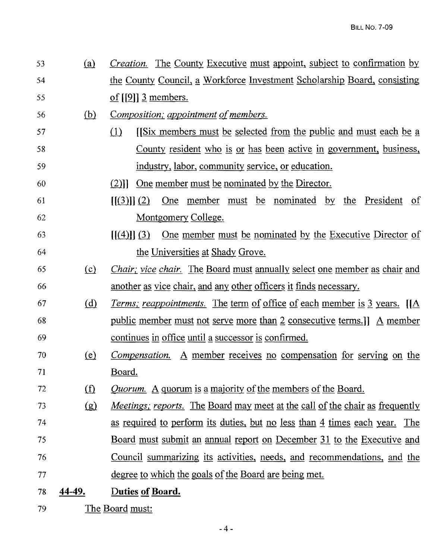- 53 (ill *Creation.* The County Executive must appoint, subject to confirmation by 54 the County Council, a Workforce Investment Scholarship Board, consisting  $55$  of [[9]]  $\overline{3}$  members.
- 56 **(b)** Composition; appointment of members.
- $(1)$  [[Six members must be selected from the public and must each be a 58 County resident who is or has been active in government, business, 59 industry, labor, community service, or education.
- 60 (2)]] One member must be nominated by the Director.
- 61  $\left[\frac{3}{12}\right]$  One member must be nominated by the President of 62 Montgomery College.
- $\left[\frac{1}{4}\right] \left[\frac{3}{2}\right]$  One member must be nominated by the Executive Director of 64 the Universities at Shady Grove.
- <sup>65</sup>ill *Chair; vice chair.* The Board must annually select one member as chair and 66 another as vice chair, and any other officers it finds necessary.
- 67 @ *Terms,' reappointments.* The term of office of each member is }. years. [[A 68 public member must not serve more than 2: consecutive terms.]] A member 69 continues in office until a successor is confirmed.
- 70 (e) *Compensation.* A member receives no compensation for serving on the 71 Board.
- 72 (f) *Quorum.* A quorum is a majority of the members of the Board.
- 73 (g) *Meetings; reports.* The Board may meet at the call of the chair as frequently 74 as required to perform its duties, but no less than 4 times each year. The 75 Board must submit an annual report on December 11 to the Executive and 76 Council summarizing its activities, needs, and recommendations, and the 77 degree to which the goals ofthe Board are being met.
- 78 44-49. Duties of Board.
- 79 The Board must: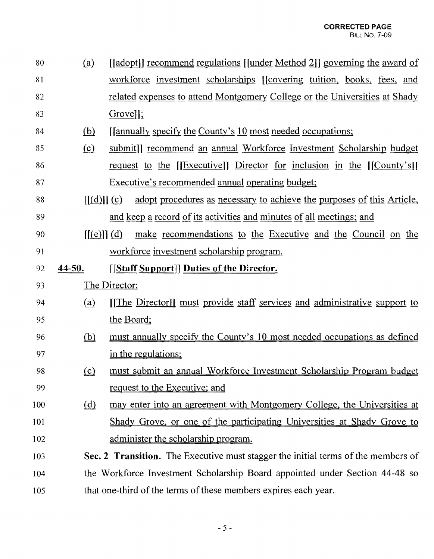| 80         | (a)        | [[adopt]] recommend regulations [[under Method 2]] governing the award of         |  |  |
|------------|------------|-----------------------------------------------------------------------------------|--|--|
| 81         |            | workforce investment scholarships [[covering tuition, books, fees, and            |  |  |
| 82         |            | related expenses to attend Montgomery College or the Universities at Shady        |  |  |
| 83         |            | $Group$ :                                                                         |  |  |
| 84         | (b)        | <u>[[annually specify the County's 10 most needed occupations;</u>                |  |  |
| 85         | $\Omega$   | submit]] recommend an annual Workforce Investment Scholarship budget              |  |  |
| 86         |            | request to the [[Executive]] Director for inclusion in the [[County's]]           |  |  |
| 87         |            | Executive's recommended annual operating budget;                                  |  |  |
| 88         | [[(d)]](c) | adopt procedures as necessary to achieve the purposes of this Article,            |  |  |
| 89         |            | and keep a record of its activities and minutes of all meetings; and              |  |  |
| 90         | [[(e)]](d) | make recommendations to the Executive and the Council on the                      |  |  |
| 91         |            | workforce investment scholarship program.                                         |  |  |
| 92         | 44-50.     | <b>[[Staff Support]] Duties of the Director.</b>                                  |  |  |
|            |            |                                                                                   |  |  |
| 93         |            | The Director:                                                                     |  |  |
| 94         | (a)        | [The Director]] must provide staff services and administrative support to         |  |  |
| 95         |            | the Board;                                                                        |  |  |
| 96         | (b)        | must annually specify the County's 10 most needed occupations as defined          |  |  |
| 97         |            | in the regulations;                                                               |  |  |
| 98         | $\Omega$   | must submit an annual Workforce Investment Scholarship Program budget             |  |  |
| 99         |            | request to the Executive; and                                                     |  |  |
| 100        | <u>(d)</u> | may enter into an agreement with Montgomery College, the Universities at          |  |  |
|            |            | Shady Grove, or one of the participating Universities at Shady Grove to           |  |  |
| 101<br>102 |            | administer the scholarship program.                                               |  |  |
| 103        |            | Sec. 2 Transition. The Executive must stagger the initial terms of the members of |  |  |
| 104        |            | the Workforce Investment Scholarship Board appointed under Section 44-48 so       |  |  |